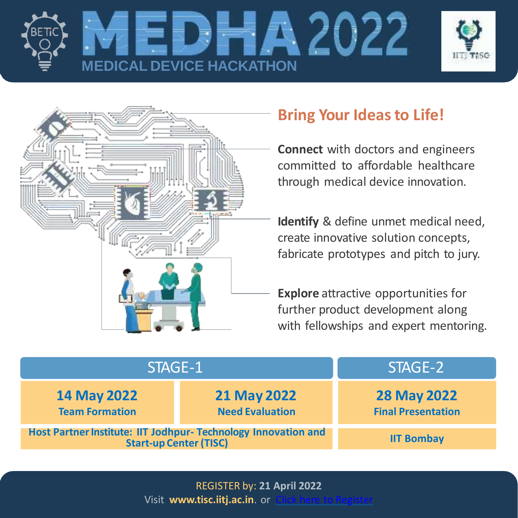





## **Bring Your Ideasto Life!**

**Connect** with doctors and engineers committed to affordable healthcare through medical device innovation.

**Identify** & define unmet medical need, create innovative solution concepts, fabricate prototypes and pitch to jury.

**Explore** attractive opportunities for further product development along with fellowships and expert mentoring.

| STAGE-1                                                                                         |                                              | STAGE-2                                         |
|-------------------------------------------------------------------------------------------------|----------------------------------------------|-------------------------------------------------|
| <b>14 May 2022</b><br><b>Team Formation</b>                                                     | <b>21 May 2022</b><br><b>Need Evaluation</b> | <b>28 May 2022</b><br><b>Final Presentation</b> |
| Host Partner Institute: IIT Jodhpur- Technology Innovation and<br><b>Start-up Center (TISC)</b> |                                              | <b>IIT Bombay</b>                               |